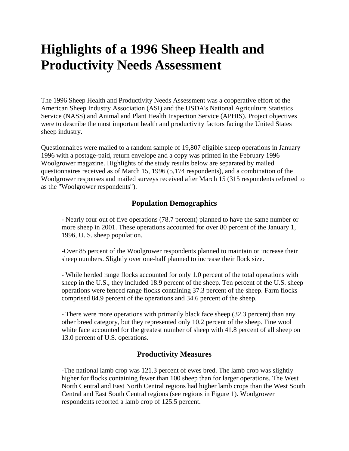# **Highlights of a 1996 Sheep Health and Productivity Needs Assessment**

The 1996 Sheep Health and Productivity Needs Assessment was a cooperative effort of the American Sheep Industry Association (ASI) and the USDA's National Agriculture Statistics Service (NASS) and Animal and Plant Health Inspection Service (APHIS). Project objectives were to describe the most important health and productivity factors facing the United States sheep industry.

Questionnaires were mailed to a random sample of 19,807 eligible sheep operations in January 1996 with a postage-paid, return envelope and a copy was printed in the February 1996 Woolgrower magazine. Highlights of the study results below are separated by mailed questionnaires received as of March 15, 1996 (5,174 respondents), and a combination of the Woolgrower responses and mailed surveys received after March 15 (315 respondents referred to as the "Woolgrower respondents").

### **Population Demographics**

- Nearly four out of five operations (78.7 percent) planned to have the same number or more sheep in 2001. These operations accounted for over 80 percent of the January 1, 1996, U. S. sheep population.

-Over 85 percent of the Woolgrower respondents planned to maintain or increase their sheep numbers. Slightly over one-half planned to increase their flock size.

- While herded range flocks accounted for only 1.0 percent of the total operations with sheep in the U.S., they included 18.9 percent of the sheep. Ten percent of the U.S. sheep operations were fenced range flocks containing 37.3 percent of the sheep. Farm flocks comprised 84.9 percent of the operations and 34.6 percent of the sheep.

- There were more operations with primarily black face sheep (32.3 percent) than any other breed category, but they represented only 10.2 percent of the sheep. Fine wool white face accounted for the greatest number of sheep with 41.8 percent of all sheep on 13.0 percent of U.S. operations.

#### **Productivity Measures**

-The national lamb crop was 121.3 percent of ewes bred. The lamb crop was slightly higher for flocks containing fewer than 100 sheep than for larger operations. The West North Central and East North Central regions had higher lamb crops than the West South Central and East South Central regions (see regions in Figure 1). Woolgrower respondents reported a lamb crop of 125.5 percent.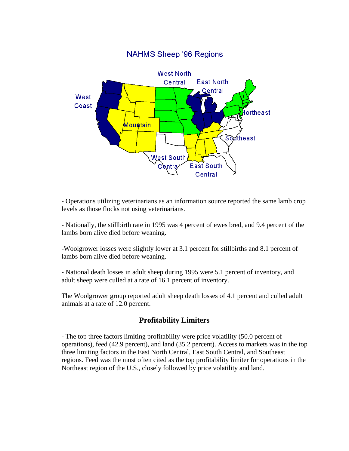

#### - Operations utilizing veterinarians as an information source reported the same lamb crop levels as those flocks not using veterinarians.

- Nationally, the stillbirth rate in 1995 was 4 percent of ewes bred, and 9.4 percent of the lambs born alive died before weaning.

-Woolgrower losses were slightly lower at 3.1 percent for stillbirths and 8.1 percent of lambs born alive died before weaning.

- National death losses in adult sheep during 1995 were 5.1 percent of inventory, and adult sheep were culled at a rate of 16.1 percent of inventory.

The Woolgrower group reported adult sheep death losses of 4.1 percent and culled adult animals at a rate of 12.0 percent.

## **Profitability Limiters**

- The top three factors limiting profitability were price volatility (50.0 percent of operations), feed (42.9 percent), and land (35.2 percent). Access to markets was in the top three limiting factors in the East North Central, East South Central, and Southeast regions. Feed was the most often cited as the top profitability limiter for operations in the Northeast region of the U.S., closely followed by price volatility and land.